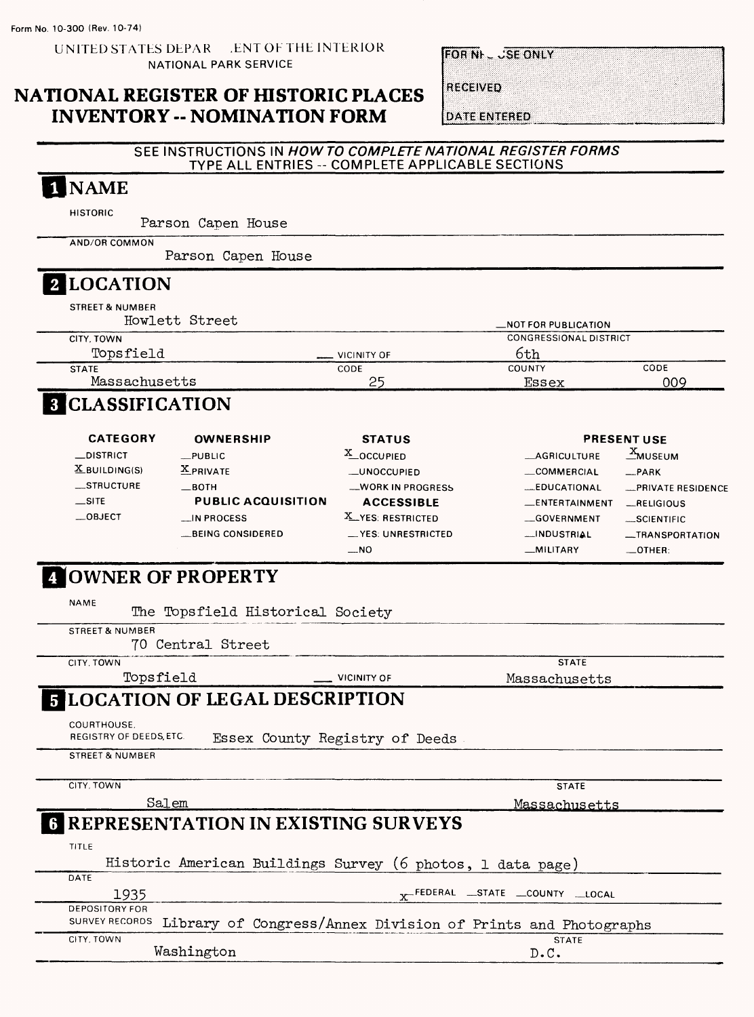**UN1THD STATES DEPAR .ENT OF THE INTERIOR NATIONAL PARK SERVICE**

**FOR NI- JSE ONLY** 

## **NATIONAL REGISTER OF HISTORIC PLACES INVENTORY -- NOMINATION FORM**

**RECEIVED** 

**DATE ENTERED** 

### **SEE INSTRUCTIONS IN HOW TO COMPLETE NATIONAL REGISTER FORMS TYPE ALL ENTRIES - COMPLETE APPLICABLE SECTIONS**

#### **NAME**  $\mathbf 1$

HISTORIC

Parson Capen House

AND/OR COMMON

Parson Capen House

# **[LOCATION**

| STREET & NUMBER<br>Howlett Street<br>_NOT FOR PUBLICATION |      |
|-----------------------------------------------------------|------|
| <b>CONGRESSIONAL DISTRICT</b><br>CITY. TOWN               |      |
| Topsfield<br>6th<br>$\equiv$ VICINITY OF                  |      |
| COUNTY<br>CODE<br><b>STATE</b>                            | CODE |
| Massachusetts<br>25<br>Essex                              | 009  |

# **CLASSIFICATION**

| <b>CATEGORY</b>             | <b>OWNERSHIP</b>          | <b>STATUS</b>       |                       | <b>PRESENT USE</b> |
|-----------------------------|---------------------------|---------------------|-----------------------|--------------------|
| $\equiv$ DISTRICT           | $_{\perp}$ PUBLIC         | X_OCCUPIED          | <b>_AGRICULTURE</b>   | <b>MUSEUM</b>      |
| $\underline{X}$ BUILDING(S) | <b>X</b> PRIVATE          | _UNOCCUPIED         | COMMERCIAL            | $-$ PARK           |
| $\equiv$ STRUCTURE          | $\equiv$ BOTH             | -WORK IN PROGRESS   | <b>EDUCATIONAL</b>    | -PRIVATE RESIDENCE |
| $\equiv$ SITE               | <b>PUBLIC ACQUISITION</b> | <b>ACCESSIBLE</b>   | <b>LENTERTAINMENT</b> | RELIGIOUS          |
| $\equiv$ OBJECT             | $\blacksquare$ IN PROCESS | X YES: RESTRICTED   | GOVERNMENT            | $-SCIENTIFIC$      |
|                             | BEING CONSIDERED          | __YES: UNRESTRICTED | -INDUSTRIAL           | -TRANSPORTATION    |
|                             |                           | $-$ NO              | _MILITARY             | $\equiv$ OTHER:    |

# **|OWNER OF PROPERTY**

| <b>NAME</b><br>The Topsfield Historical Society      |                                                            |                                                              |
|------------------------------------------------------|------------------------------------------------------------|--------------------------------------------------------------|
| <b>STREET &amp; NUMBER</b>                           |                                                            |                                                              |
| 70 Central Street                                    |                                                            |                                                              |
| CITY, TOWN                                           |                                                            | <b>STATE</b>                                                 |
| Topsfield                                            | <b>VICINITY OF</b>                                         | Massachusetts                                                |
| <b>5 LOCATION OF LEGAL DESCRIPTION</b>               |                                                            |                                                              |
| COURTHOUSE.<br>REGISTRY OF DEEDS, ETC.               | Essex County Registry of Deeds                             |                                                              |
| <b>STREET &amp; NUMBER</b>                           |                                                            |                                                              |
| CITY, TOWN                                           |                                                            | <b>STATE</b>                                                 |
| Salem                                                |                                                            | <u>Massachusetts</u>                                         |
| <b>6 REPRESENTATION IN EXISTING SURVEYS</b><br>TITLE |                                                            |                                                              |
|                                                      | Historic American Buildings Survey (6 photos, 1 data page) |                                                              |
| DATE<br>1935                                         |                                                            | x <sup>-Federal</sup> State County Local                     |
| <b>DEPOSITORY FOR</b><br><b>SURVEY RECORDS</b>       |                                                            | Library of Congress/Annex Division of Prints and Photographs |
| CITY, TOWN                                           |                                                            | <b>STATE</b>                                                 |
| Washington                                           |                                                            | D.C.                                                         |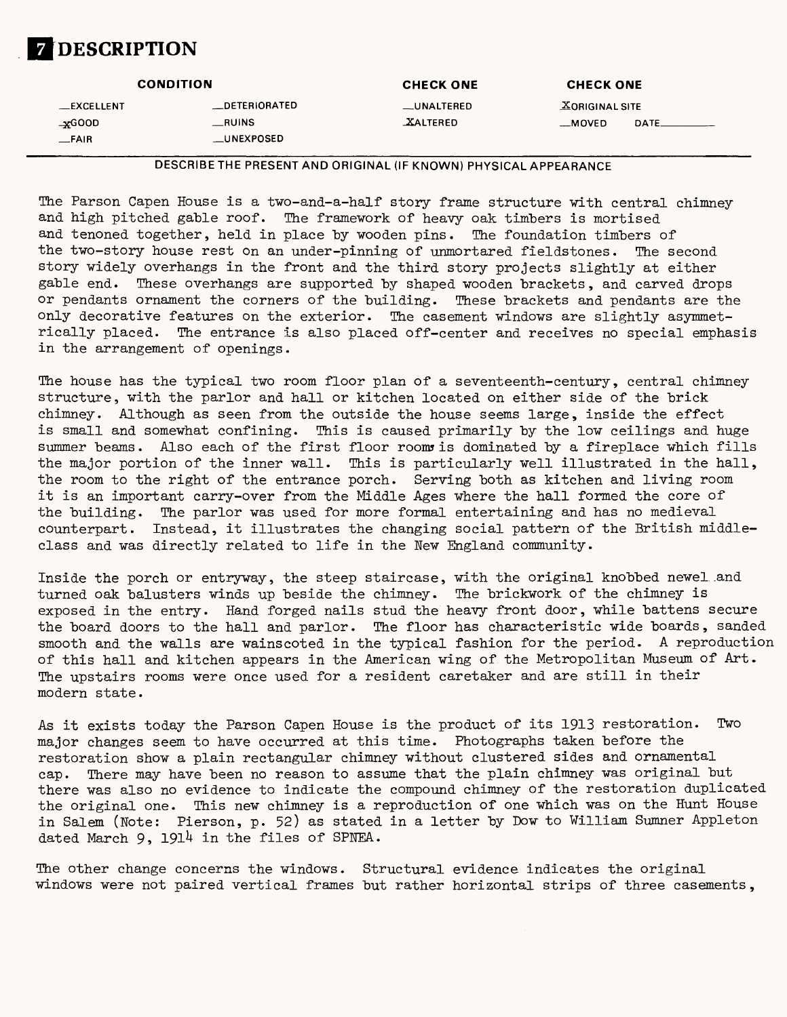# **DESCRIPTION**

|             | <b>CONDITION</b>     | <b>CHECK ONE</b> | <b>CHECK ONE</b>      |
|-------------|----------------------|------------------|-----------------------|
| __EXCELLENT | <b>_DETERIORATED</b> | __UNALTERED      | <b>XORIGINAL SITE</b> |
| $\pm$ GOOD  | RUNS                 | <b>XALTERED</b>  | __MOVED<br>DATE.      |
| $-FAIR$     | __UNEXPOSED          |                  |                       |

DESCRIBETHE PRESENT AND ORIGINAL (IF KNOWN) PHYSICAL APPEARANCE

The Parson Capen House is a two-and-a-half story frame structure with central chimney and high pitched gable roof. The framework of heavy oak timbers is mortised and tenoned together, held in place by wooden pins. The foundation timbers of the two-story house rest on an under-pinning of unmortared fieldstones. The second story widely overhangs in the front and the third story projects slightly at either gable end. These overhangs are supported by shaped wooden brackets, and carved drops or pendants ornament the corners of the building. These brackets and pendants are the or pendants ornament the corners of the building. only decorative features on the exterior. The casement windows are slightly asymmetrically placed. The entrance is also placed off-center and receives no special emphasis in the arrangement of openings.

The house has the typical two room floor plan of a seventeenth-century, central chimney structure, with the parlor and hall or kitchen located on either side of the brick chimney. Although as seen from the outside the house seems large, inside the effect is small and somewhat confining. This is caused primarily by the low ceilings and huge summer beams. Also each of the first floor room is dominated by a fireplace which fills the major portion of the inner wall. This is particularly well illustrated in the hall, the room to the right of the entrance porch. Serving both as kitchen and living room it is an important carry-over from the Middle Ages where the hall formed the core of the building. The parlor was used for more formal entertaining and has no medieval counterpart. Instead, it illustrates the changing social pattern of the British middleclass and was directly related to life in the New England community.

Inside the porch or entryway, the steep staircase, with the original knobbed newel and turned oak balusters winds up beside the chimney. The brickwork of the chimney is exposed in the entry. Hand forged nails stud the heavy front door, while battens secure the board doors to the hall and parlor. The floor has characteristic wide boards, sanded smooth and the walls are wainscoted in the typical fashion for the period. A reproduction of this hall and kitchen appears in the American wing of the Metropolitan Museum of Art. The upstairs rooms were once used for a resident caretaker and are still in their modern state.

As it exists today the Parson Capen House is the product of its 1913 restoration. Two major changes seem to have occurred at this time. Photographs taken before the restoration show a plain rectangular chimney without clustered sides and ornamental cap. There may have been no reason to assume that the plain chimney was original but there was also no evidence to indicate the compound chimney of the restoration duplicated the original one. This new chimney is a reproduction of one which was on the Hunt House in Salem (Note: Pierson, p. 52) as stated in a letter by Dow to William Sumner Appleton dated March  $9$ , 1914 in the files of SPNEA.

The other change concerns the windows. Structural evidence indicates the original windows were not paired vertical frames but rather horizontal strips of three casements,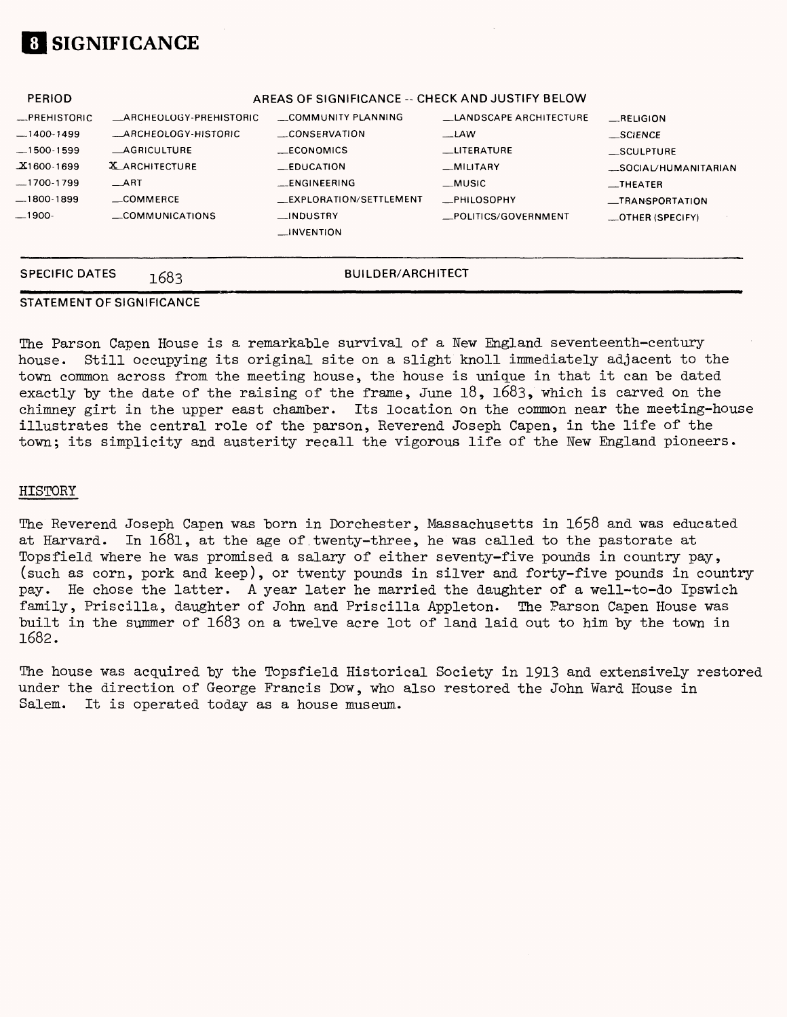

| <b>PERIOD</b> |                            | AREAS OF SIGNIFICANCE -- CHECK AND JUSTIFY BELOW |                               |                      |
|---------------|----------------------------|--------------------------------------------------|-------------------------------|----------------------|
| -PREHISTORIC  | ARCHEOLOGY-PREHISTORIC     | COMMUNITY PLANNING                               | <b>LANDSCAPE ARCHITECTURE</b> | RELIGION             |
| $-1400-1499$  | <b>ARCHEOLOGY-HISTORIC</b> | CONSERVATION                                     | $-LAW$                        | _SCIENCE             |
| $-1500-1599$  | <b>AGRICULTURE</b>         | <b>ECONOMICS</b>                                 | <b>LITERATURE</b>             | _SCULPTURE           |
| $X1600-1699$  | X ARCHITECTURE             | $\equiv$ EDUCATION                               | _MILITARY                     | _SOCIAL/HUMANITARIAN |
| $-1700-1799$  | $\_$ ART                   | <b>LENGINEERING</b>                              | $\_$ MUSIC                    | $\equiv$ THEATER     |
| —1800-1899    | COMMERCE                   | EXPLORATION/SETTLEMENT                           | <b>_PHILOSOPHY</b>            | _TRANSPORTATION      |
| —1900-        | COMMUNICATIONS             | __INDUSTRY                                       | POLITICS/GOVERNMENT           | $$ OTHER (SPECIFY)   |
|               |                            | $\Box$ INVENTION                                 |                               |                      |
|               |                            |                                                  |                               |                      |
|               |                            |                                                  |                               |                      |

### **STATEMENT OF SIGNIFICANCE**

**SPECIFIC DATES 1683 BUILDER/ARCHITECT** 

The Parson Capen House is a remarkable survival of a New England seventeenth-century house. Still occupying its original site on a slight knoll immediately adjacent to the town common across from the meeting house, the house is unique in that it can be dated exactly by the date of the raising of the frame, June 18, 1683, which is carved on the chimney girt in the upper east chamber. Its location on the common near the meeting-house illustrates the central role of the parson, Reverend Joseph Capen, in the life of the town; its simplicity and austerity recall the vigorous life of the New England pioneers.

#### HISTORY

The Reverend Joseph Capen was born in Dorchester, Massachusetts in 1658 and was educated at Harvard. In 1681, at the age of twenty-three, he was called to the pastorate at Topsfield where he was promised a salary of either seventy-five pounds in country pay, (such as corn, pork and keep), or twenty pounds in silver and forty-five pounds in country pay. He chose the latter. A year later he married the daughter of a well-to-do Ipswich family, Priscilla, daughter of John and Priscilla Appleton. The Parson Capen House was built in the summer of 1683 on a twelve acre lot of land laid out to him by the town in 1682.

The house was acquired by the Topsfield Historical Society in 1913 and extensively restored under the direction of George Francis Dow, who also restored the John Ward House in Salem. It is operated today as a house museum.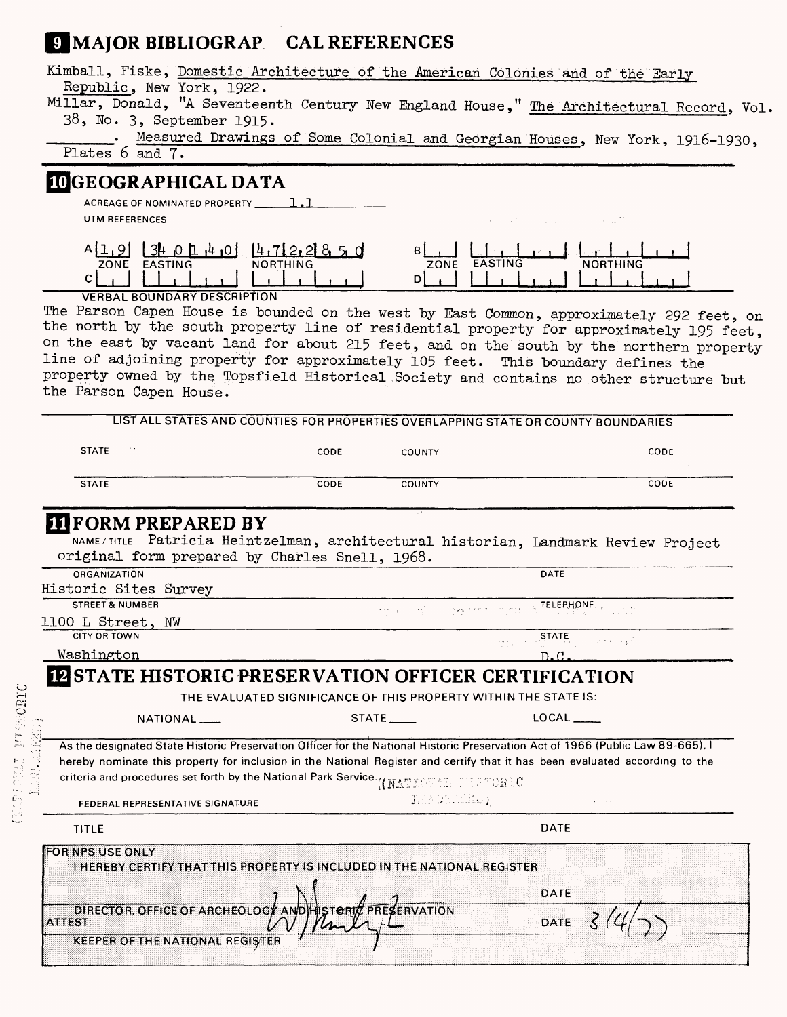# **JJMAJOR BIBLIOGRAP CAL REFERENCES**

| Kimball, Fiske, Domestic Architecture of the American Colonies and of the Early                                                           |                 |                                               |                                                                                                                                                                                                                                                                                                                                                                            |
|-------------------------------------------------------------------------------------------------------------------------------------------|-----------------|-----------------------------------------------|----------------------------------------------------------------------------------------------------------------------------------------------------------------------------------------------------------------------------------------------------------------------------------------------------------------------------------------------------------------------------|
| Republic, New York, 1922.                                                                                                                 |                 |                                               | Millar, Donald, "A Seventeenth Century New England House," The Architectural Record, Vol.                                                                                                                                                                                                                                                                                  |
| 38, No. 3, September 1915.                                                                                                                |                 |                                               |                                                                                                                                                                                                                                                                                                                                                                            |
| Plates 6 and 7.                                                                                                                           |                 |                                               | Measured Drawings of Some Colonial and Georgian Houses, New York, 1916-1930,                                                                                                                                                                                                                                                                                               |
| <b>IDGEOGRAPHICAL DATA</b>                                                                                                                |                 |                                               |                                                                                                                                                                                                                                                                                                                                                                            |
| ACREAGE OF NOMINATED PROPERTY 1.1                                                                                                         |                 |                                               |                                                                                                                                                                                                                                                                                                                                                                            |
| UTM REFERENCES                                                                                                                            |                 |                                               | a sala<br><b>Contractor</b>                                                                                                                                                                                                                                                                                                                                                |
| $A[1, 9]$ $3$ $0$ $1$ $1$ $1$ $10$ $1$ $1$ $12$ $2$ $3$ $3$ $5$ $0$<br>ZONE EASTING<br>$\mathsf{C}$<br><b>VERBAL BOUNDARY DESCRIPTION</b> | <b>NORTHING</b> | вI<br>ZONE<br>D                               | <b>EASTING</b><br><b>NORTHING</b>                                                                                                                                                                                                                                                                                                                                          |
| line of adjoining property for approximately 105 feet. This boundary defines the<br>the Parson Capen House.                               |                 |                                               | The Parson Capen House is bounded on the west by East Common, approximately 292 feet, on<br>the north by the south property line of residential property for approximately 195 feet,<br>on the east by vacant land for about 215 feet, and on the south by the northern property<br>property owned by the Topsfield Historical Society and contains no other structure but |
|                                                                                                                                           |                 |                                               | LIST ALL STATES AND COUNTIES FOR PROPERTIES OVERLAPPING STATE OR COUNTY BOUNDARIES                                                                                                                                                                                                                                                                                         |
|                                                                                                                                           |                 |                                               |                                                                                                                                                                                                                                                                                                                                                                            |
| <b>STATE</b>                                                                                                                              | CODE            | <b>COUNTY</b>                                 | CODE                                                                                                                                                                                                                                                                                                                                                                       |
|                                                                                                                                           |                 |                                               |                                                                                                                                                                                                                                                                                                                                                                            |
| <b>STATE</b><br><b>III</b> FORM PREPARED BY                                                                                               | CODE            | COUNTY                                        | CODE                                                                                                                                                                                                                                                                                                                                                                       |
| original form prepared by Charles Snell, 1968.                                                                                            |                 |                                               | NAME/TITLE Patricia Heintzelman, architectural historian, Landmark Review Project                                                                                                                                                                                                                                                                                          |
| ORGANIZATION                                                                                                                              |                 |                                               | DATE                                                                                                                                                                                                                                                                                                                                                                       |
| Historic Sites Survey                                                                                                                     |                 |                                               |                                                                                                                                                                                                                                                                                                                                                                            |
| <b>STREET &amp; NUMBER</b>                                                                                                                |                 | الأفلات الهنعلين<br>$\sim 200 \times 10^{-2}$ | TELEPHONE.                                                                                                                                                                                                                                                                                                                                                                 |
| 1100 L Street, NW                                                                                                                         |                 |                                               |                                                                                                                                                                                                                                                                                                                                                                            |
| <b>CITY OR TOWN</b>                                                                                                                       |                 |                                               | STATE<br>ುಟ್ ಆಗ<br>DD.                                                                                                                                                                                                                                                                                                                                                     |
| Washington<br><b>IZ STATE HISTORIC PRESERVATION OFFICER CERTIFICATION</b>                                                                 |                 |                                               | D.C.                                                                                                                                                                                                                                                                                                                                                                       |
|                                                                                                                                           |                 |                                               | THE EVALUATED SIGNIFICANCE OF THIS PROPERTY WITHIN THE STATE IS:                                                                                                                                                                                                                                                                                                           |
| NATIONAL                                                                                                                                  |                 |                                               | $LOCAL$ <sub>_____</sub>                                                                                                                                                                                                                                                                                                                                                   |
|                                                                                                                                           |                 |                                               | As the designated State Historic Preservation Officer for the National Historic Preservation Act of 1966 (Public Law 89-665). I<br>hereby nominate this property for inclusion in the National Register and certify that it has been evaluated according to the                                                                                                            |
| <b>criteria and procedures set forth by the National Park Service. <i>(IMATIONAL</i>) 2006 TC</b><br>FEDERAL REPRESENTATIVE SIGNATURE     |                 | LANDALKES)                                    |                                                                                                                                                                                                                                                                                                                                                                            |
| <b>TITLE</b>                                                                                                                              |                 |                                               | <b>DATE</b>                                                                                                                                                                                                                                                                                                                                                                |
| <b>FOR NPS USE ONLY</b><br>I HEREBY CERTIFY THAT THIS PROPERTY IS INCLUDED IN THE NATIONAL REGISTER                                       |                 |                                               |                                                                                                                                                                                                                                                                                                                                                                            |
|                                                                                                                                           |                 |                                               |                                                                                                                                                                                                                                                                                                                                                                            |
| DIRECTOR, OFFICE OF ARCHEOLOGY ANDINISTORIC PRESERVATION                                                                                  |                 |                                               | DATE                                                                                                                                                                                                                                                                                                                                                                       |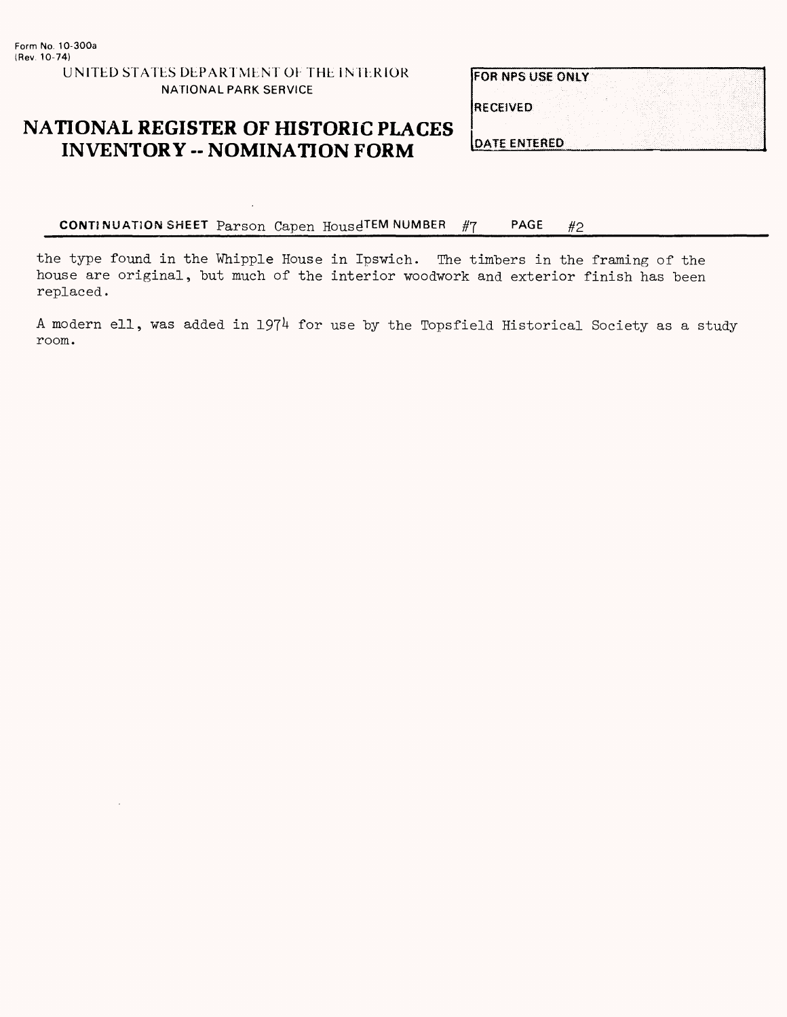### **NATIONAL REGISTER OF HISTORIC PLACES INVENTORY - NOMINATION FORM**

FOR NPS USE ONLY

**RECEIVED** 

**DATE ENTERED** 

**CONTINUATION SHEET** Parson Capen HousdTEM NUMBER #7 PAGE #2

the type found in the Whipple House in Ipswich. The timbers in the framing of the house are original, but much of the interior woodwork and exterior finish has been replaced.

A modern ell, was added in 1974 for use by the Topsfield Historical Society as a study room.